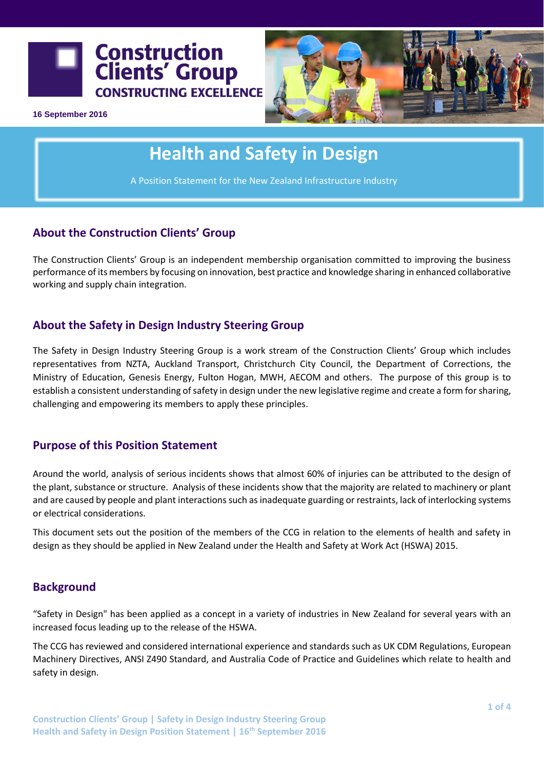



**16 September 2016**

# **Health and Safety in Design**

A Position Statement for the New Zealand Infrastructure Industry

# **About the Construction Clients' Group**

The Construction Clients' Group is an independent membership organisation committed to improving the business performance of its members by focusing on innovation, best practice and knowledge sharing in enhanced collaborative working and supply chain integration.

# **About the Safety in Design Industry Steering Group**

The Safety in Design Industry Steering Group is a work stream of the Construction Clients' Group which includes representatives from NZTA, Auckland Transport, Christchurch City Council, the Department of Corrections, the Ministry of Education, Genesis Energy, Fulton Hogan, MWH, AECOM and others. The purpose of this group is to establish a consistent understanding of safety in design under the new legislative regime and create a form for sharing, challenging and empowering its members to apply these principles.

## **Purpose of this Position Statement**

Around the world, analysis of serious incidents shows that almost 60% of injuries can be attributed to the design of the plant, substance or structure. Analysis of these incidents show that the majority are related to machinery or plant and are caused by people and plant interactions such as inadequate guarding or restraints, lack of interlocking systems or electrical considerations.

This document sets out the position of the members of the CCG in relation to the elements of health and safety in design as they should be applied in New Zealand under the Health and Safety at Work Act (HSWA) 2015.

## **Background**

"Safety in Design" has been applied as a concept in a variety of industries in New Zealand for several years with an increased focus leading up to the release of the HSWA.

The CCG has reviewed and considered international experience and standards such as UK CDM Regulations, European Machinery Directives, ANSI Z490 Standard, and Australia Code of Practice and Guidelines which relate to health and safety in design.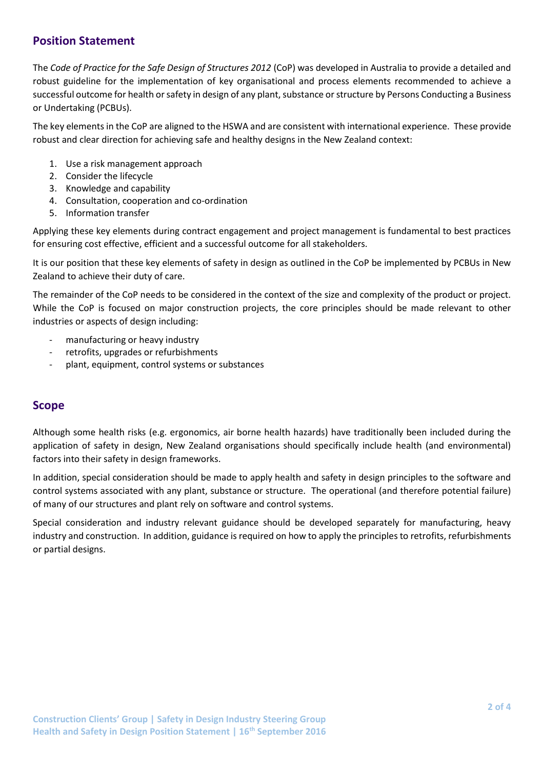## **Position Statement**

The *Code of Practice for the Safe Design of Structures 2012* (CoP) was developed in Australia to provide a detailed and robust guideline for the implementation of key organisational and process elements recommended to achieve a successful outcome for health or safety in design of any plant, substance or structure by Persons Conducting a Business or Undertaking (PCBUs).

The key elements in the CoP are aligned to the HSWA and are consistent with international experience. These provide robust and clear direction for achieving safe and healthy designs in the New Zealand context:

- 1. Use a risk management approach
- 2. Consider the lifecycle
- 3. Knowledge and capability
- 4. Consultation, cooperation and co-ordination
- 5. Information transfer

Applying these key elements during contract engagement and project management is fundamental to best practices for ensuring cost effective, efficient and a successful outcome for all stakeholders.

It is our position that these key elements of safety in design as outlined in the CoP be implemented by PCBUs in New Zealand to achieve their duty of care.

The remainder of the CoP needs to be considered in the context of the size and complexity of the product or project. While the CoP is focused on major construction projects, the core principles should be made relevant to other industries or aspects of design including:

- manufacturing or heavy industry
- retrofits, upgrades or refurbishments
- plant, equipment, control systems or substances

#### **Scope**

Although some health risks (e.g. ergonomics, air borne health hazards) have traditionally been included during the application of safety in design, New Zealand organisations should specifically include health (and environmental) factors into their safety in design frameworks.

In addition, special consideration should be made to apply health and safety in design principles to the software and control systems associated with any plant, substance or structure. The operational (and therefore potential failure) of many of our structures and plant rely on software and control systems.

Special consideration and industry relevant guidance should be developed separately for manufacturing, heavy industry and construction. In addition, guidance is required on how to apply the principles to retrofits, refurbishments or partial designs.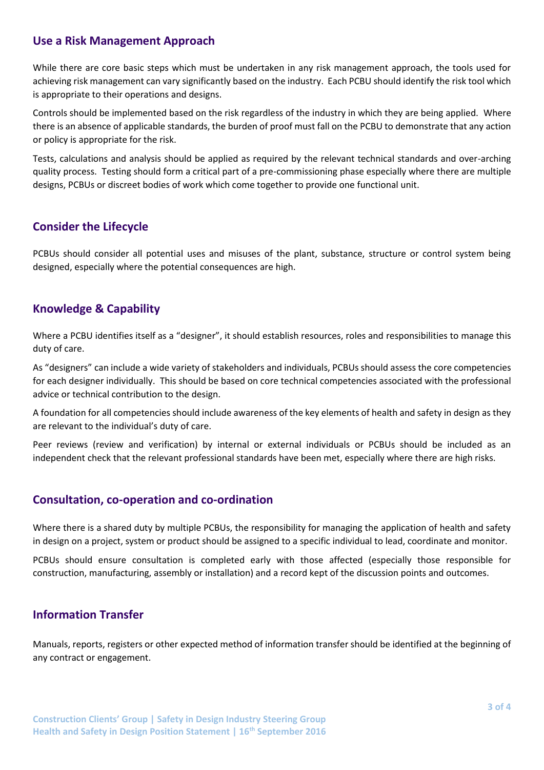#### **Use a Risk Management Approach**

While there are core basic steps which must be undertaken in any risk management approach, the tools used for achieving risk management can vary significantly based on the industry. Each PCBU should identify the risk tool which is appropriate to their operations and designs.

Controls should be implemented based on the risk regardless of the industry in which they are being applied. Where there is an absence of applicable standards, the burden of proof must fall on the PCBU to demonstrate that any action or policy is appropriate for the risk.

Tests, calculations and analysis should be applied as required by the relevant technical standards and over-arching quality process. Testing should form a critical part of a pre-commissioning phase especially where there are multiple designs, PCBUs or discreet bodies of work which come together to provide one functional unit.

# **Consider the Lifecycle**

PCBUs should consider all potential uses and misuses of the plant, substance, structure or control system being designed, especially where the potential consequences are high.

# **Knowledge & Capability**

Where a PCBU identifies itself as a "designer", it should establish resources, roles and responsibilities to manage this duty of care.

As "designers" can include a wide variety of stakeholders and individuals, PCBUs should assess the core competencies for each designer individually. This should be based on core technical competencies associated with the professional advice or technical contribution to the design.

A foundation for all competencies should include awareness of the key elements of health and safety in design as they are relevant to the individual's duty of care.

Peer reviews (review and verification) by internal or external individuals or PCBUs should be included as an independent check that the relevant professional standards have been met, especially where there are high risks.

#### **Consultation, co-operation and co-ordination**

Where there is a shared duty by multiple PCBUs, the responsibility for managing the application of health and safety in design on a project, system or product should be assigned to a specific individual to lead, coordinate and monitor.

PCBUs should ensure consultation is completed early with those affected (especially those responsible for construction, manufacturing, assembly or installation) and a record kept of the discussion points and outcomes.

## **Information Transfer**

Manuals, reports, registers or other expected method of information transfer should be identified at the beginning of any contract or engagement.